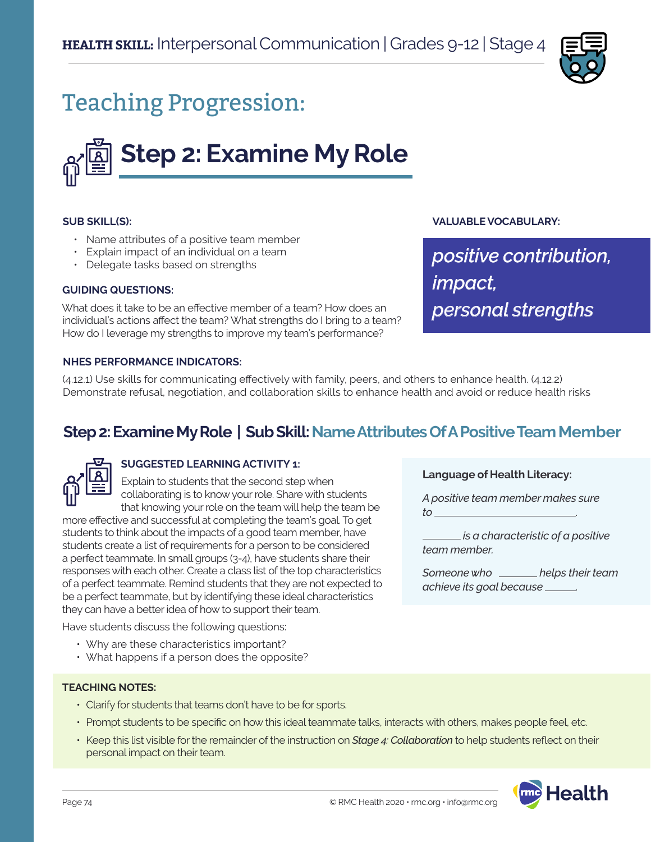

# Teaching Progression:

# **Step 2: Examine My Role**

#### **SUB SKILL(S):**

- Name attributes of a positive team member
- Explain impact of an individual on a team
- Delegate tasks based on strengths

#### **GUIDING QUESTIONS:**

What does it take to be an effective member of a team? How does an individual's actions affect the team? What strengths do I bring to a team? How do I leverage my strengths to improve my team's performance?

**VALUABLE VOCABULARY:**

**Language of Health Literacy:**

*to* .

*team member.* 

*A positive team member makes sure* 

 *is a characteristic of a positive* 

*Someone who helps their team* 

*achieve its goal because* .

*positive contribution, impact, personal strengths*

#### **NHES PERFORMANCE INDICATORS:**

(4.12.1) Use skills for communicating effectively with family, peers, and others to enhance health. (4.12.2) Demonstrate refusal, negotiation, and collaboration skills to enhance health and avoid or reduce health risks

# **Step 2: Examine My Role | Sub Skill: Name Attributes Of A Positive Team Member**



# **SUGGESTED LEARNING ACTIVITY 1:**

Explain to students that the second step when collaborating is to know your role. Share with students that knowing your role on the team will help the team be

more effective and successful at completing the team's goal. To get students to think about the impacts of a good team member, have students create a list of requirements for a person to be considered a perfect teammate. In small groups (3-4), have students share their responses with each other. Create a class list of the top characteristics of a perfect teammate. Remind students that they are not expected to be a perfect teammate, but by identifying these ideal characteristics they can have a better idea of how to support their team.

Have students discuss the following questions:

- Why are these characteristics important?
- What happens if a person does the opposite?

#### **TEACHING NOTES:**

- Clarify for students that teams don't have to be for sports.
- Prompt students to be specific on how this ideal teammate talks, interacts with others, makes people feel, etc.
- Keep this list visible for the remainder of the instruction on *Stage 4: Collaboration* to help students reflect on their personal impact on their team.

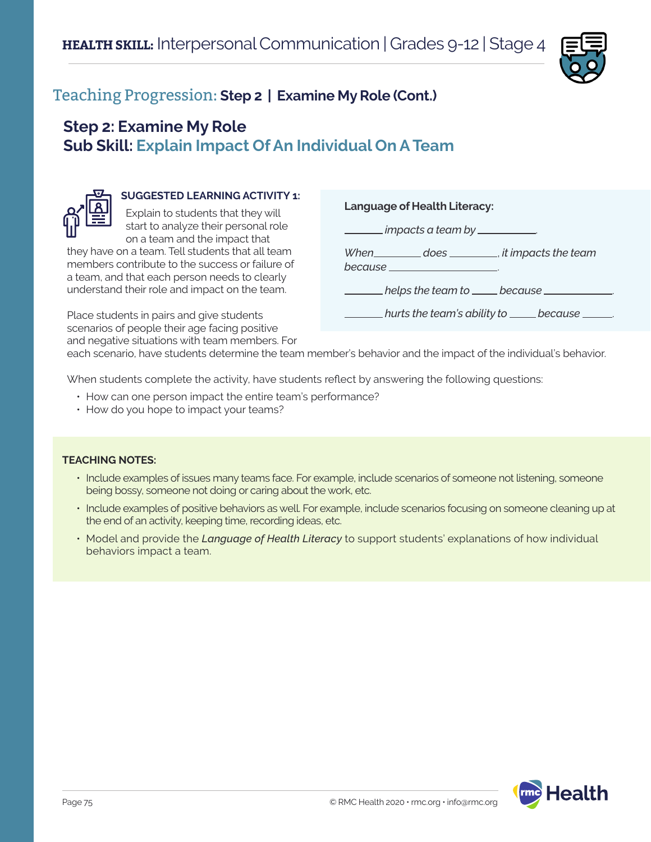

# Teaching Progression: **Step 2 | Examine My Role (Cont.)**

# **Step 2: Examine My Role Sub Skill: Explain Impact Of An Individual On A Team**



# **SUGGESTED LEARNING ACTIVITY 1:**

Explain to students that they will start to analyze their personal role on a team and the impact that

they have on a team. Tell students that all team members contribute to the success or failure of a team, and that each person needs to clearly understand their role and impact on the team.

Place students in pairs and give students scenarios of people their age facing positive and negative situations with team members. For **Language of Health Literacy:**

 *impacts a team by* .

*When does* , *it impacts the team* 

*because* .

 $h$ elps the team to <u>because</u>

 $n$  hurts the team's ability to <u>cannect because</u>

each scenario, have students determine the team member's behavior and the impact of the individual's behavior.

When students complete the activity, have students reflect by answering the following questions:

- How can one person impact the entire team's performance?
- How do you hope to impact your teams?

#### **TEACHING NOTES:**

- Include examples of issues many teams face. For example, include scenarios of someone not listening, someone being bossy, someone not doing or caring about the work, etc.
- Include examples of positive behaviors as well. For example, include scenarios focusing on someone cleaning up at the end of an activity, keeping time, recording ideas, etc.
- Model and provide the *Language of Health Literacy* to support students' explanations of how individual behaviors impact a team.